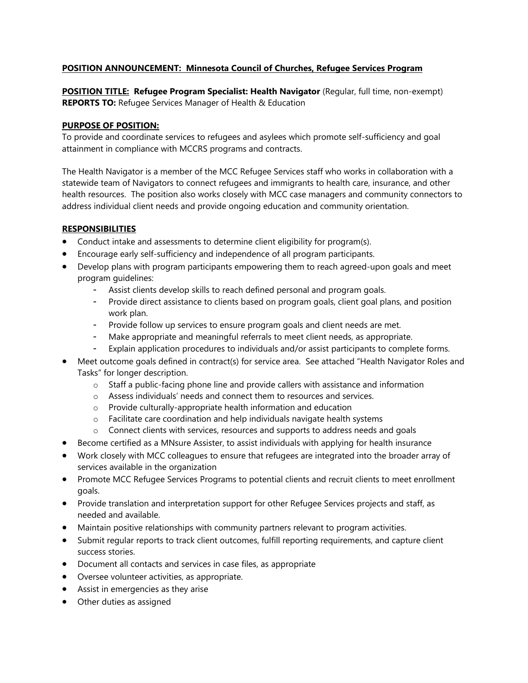# **POSITION ANNOUNCEMENT: Minnesota Council of Churches, Refugee Services Program**

**POSITION TITLE: Refugee Program Specialist: Health Navigator** (Regular, full time, non-exempt) **REPORTS TO:** Refugee Services Manager of Health & Education

### **PURPOSE OF POSITION:**

To provide and coordinate services to refugees and asylees which promote self-sufficiency and goal attainment in compliance with MCCRS programs and contracts.

The Health Navigator is a member of the MCC Refugee Services staff who works in collaboration with a statewide team of Navigators to connect refugees and immigrants to health care, insurance, and other health resources. The position also works closely with MCC case managers and community connectors to address individual client needs and provide ongoing education and community orientation.

## **RESPONSIBILITIES**

- Conduct intake and assessments to determine client eligibility for program(s).
- Encourage early self-sufficiency and independence of all program participants.
- Develop plans with program participants empowering them to reach agreed-upon goals and meet program guidelines:
	- Assist clients develop skills to reach defined personal and program goals.
	- Provide direct assistance to clients based on program goals, client goal plans, and position work plan.
	- Provide follow up services to ensure program goals and client needs are met.
	- Make appropriate and meaningful referrals to meet client needs, as appropriate.
	- Explain application procedures to individuals and/or assist participants to complete forms.
- Meet outcome goals defined in contract(s) for service area. See attached "Health Navigator Roles and Tasks" for longer description.
	- $\circ$  Staff a public-facing phone line and provide callers with assistance and information
	- o Assess individuals' needs and connect them to resources and services.
	- o Provide culturally-appropriate health information and education
	- o Facilitate care coordination and help individuals navigate health systems
	- $\circ$  Connect clients with services, resources and supports to address needs and goals
- Become certified as a MNsure Assister, to assist individuals with applying for health insurance
- Work closely with MCC colleagues to ensure that refugees are integrated into the broader array of services available in the organization
- Promote MCC Refugee Services Programs to potential clients and recruit clients to meet enrollment goals.
- Provide translation and interpretation support for other Refugee Services projects and staff, as needed and available.
- Maintain positive relationships with community partners relevant to program activities.
- Submit regular reports to track client outcomes, fulfill reporting requirements, and capture client success stories.
- Document all contacts and services in case files, as appropriate
- Oversee volunteer activities, as appropriate.
- Assist in emergencies as they arise
- Other duties as assigned